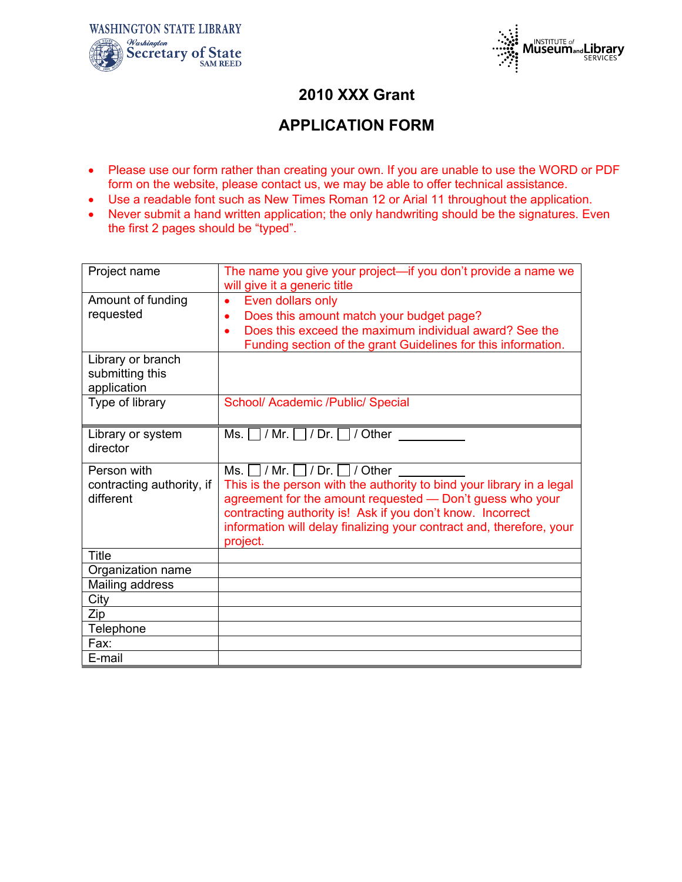



## **2010 XXX Grant**

## **APPLICATION FORM**

- Please use our form rather than creating your own. If you are unable to use the WORD or PDF form on the website, please contact us, we may be able to offer technical assistance.
- Use a readable font such as New Times Roman 12 or Arial 11 throughout the application.
- Never submit a hand written application; the only handwriting should be the signatures. Even the first 2 pages should be "typed".

| Project name                                          | The name you give your project—if you don't provide a name we<br>will give it a generic title                                                                                                                                                                                                                                        |
|-------------------------------------------------------|--------------------------------------------------------------------------------------------------------------------------------------------------------------------------------------------------------------------------------------------------------------------------------------------------------------------------------------|
| Amount of funding<br>requested                        | Even dollars only<br>Does this amount match your budget page?<br>$\bullet$<br>Does this exceed the maximum individual award? See the<br>$\bullet$<br>Funding section of the grant Guidelines for this information.                                                                                                                   |
| Library or branch<br>submitting this<br>application   |                                                                                                                                                                                                                                                                                                                                      |
| Type of library                                       | School/ Academic /Public/ Special                                                                                                                                                                                                                                                                                                    |
| Library or system<br>director                         | Ms. $\Box$ / Mr. $\Box$ / Dr. $\Box$ / Other                                                                                                                                                                                                                                                                                         |
|                                                       |                                                                                                                                                                                                                                                                                                                                      |
| Person with<br>contracting authority, if<br>different | Ms. $\Box$ / Mr. $\Box$ / Dr. $\Box$ / Other<br>This is the person with the authority to bind your library in a legal<br>agreement for the amount requested - Don't guess who your<br>contracting authority is! Ask if you don't know. Incorrect<br>information will delay finalizing your contract and, therefore, your<br>project. |
| <b>Title</b>                                          |                                                                                                                                                                                                                                                                                                                                      |
| Organization name                                     |                                                                                                                                                                                                                                                                                                                                      |
| Mailing address                                       |                                                                                                                                                                                                                                                                                                                                      |
| City                                                  |                                                                                                                                                                                                                                                                                                                                      |
| Zip                                                   |                                                                                                                                                                                                                                                                                                                                      |
| Telephone                                             |                                                                                                                                                                                                                                                                                                                                      |
| Fax:<br>E-mail                                        |                                                                                                                                                                                                                                                                                                                                      |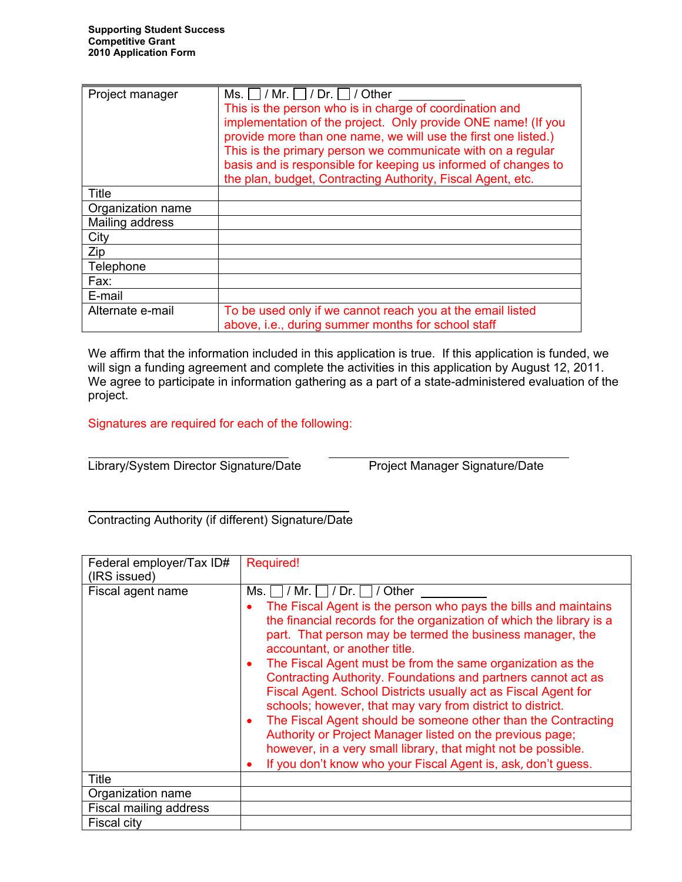| Project manager   | Ms. $\vert$ / Mr. $\vert$ / Dr. $\vert$ / Other                                                                                 |  |  |  |  |
|-------------------|---------------------------------------------------------------------------------------------------------------------------------|--|--|--|--|
|                   | This is the person who is in charge of coordination and                                                                         |  |  |  |  |
|                   | implementation of the project. Only provide ONE name! (If you<br>provide more than one name, we will use the first one listed.) |  |  |  |  |
|                   | This is the primary person we communicate with on a regular                                                                     |  |  |  |  |
|                   | basis and is responsible for keeping us informed of changes to<br>the plan, budget, Contracting Authority, Fiscal Agent, etc.   |  |  |  |  |
|                   |                                                                                                                                 |  |  |  |  |
| Title             |                                                                                                                                 |  |  |  |  |
| Organization name |                                                                                                                                 |  |  |  |  |
| Mailing address   |                                                                                                                                 |  |  |  |  |
| City              |                                                                                                                                 |  |  |  |  |
| Zip               |                                                                                                                                 |  |  |  |  |
| Telephone         |                                                                                                                                 |  |  |  |  |
| Fax:              |                                                                                                                                 |  |  |  |  |
| E-mail            |                                                                                                                                 |  |  |  |  |
| Alternate e-mail  | To be used only if we cannot reach you at the email listed                                                                      |  |  |  |  |
|                   | above, i.e., during summer months for school staff                                                                              |  |  |  |  |

We affirm that the information included in this application is true. If this application is funded, we will sign a funding agreement and complete the activities in this application by August 12, 2011. We agree to participate in information gathering as a part of a state-administered evaluation of the project.

Signatures are required for each of the following:

 $\overline{a}$ Library/System Director Signature/Date Project Manager Signature/Date

 $\mathcal{L}=\mathcal{L}=\mathcal{L}=\mathcal{L}=\mathcal{L}=\mathcal{L}=\mathcal{L}=\mathcal{L}=\mathcal{L}=\mathcal{L}=\mathcal{L}=\mathcal{L}=\mathcal{L}=\mathcal{L}=\mathcal{L}=\mathcal{L}=\mathcal{L}=\mathcal{L}=\mathcal{L}=\mathcal{L}=\mathcal{L}=\mathcal{L}=\mathcal{L}=\mathcal{L}=\mathcal{L}=\mathcal{L}=\mathcal{L}=\mathcal{L}=\mathcal{L}=\mathcal{L}=\mathcal{L}=\mathcal{L}=\mathcal{L}=\mathcal{L}=\mathcal{L}=\mathcal{L}=\mathcal{$ Contracting Authority (if different) Signature/Date

| Federal employer/Tax ID#<br>(IRS issued) | <b>Required!</b>                                                                                                                                                                                                                                                                                                                                                                                                                                                                                                                                                                                                                                                                                                                                                                                                               |
|------------------------------------------|--------------------------------------------------------------------------------------------------------------------------------------------------------------------------------------------------------------------------------------------------------------------------------------------------------------------------------------------------------------------------------------------------------------------------------------------------------------------------------------------------------------------------------------------------------------------------------------------------------------------------------------------------------------------------------------------------------------------------------------------------------------------------------------------------------------------------------|
| Fiscal agent name                        | Ms. $\Box$ / Mr. $\Box$ / Dr. $\Box$ / Other<br>The Fiscal Agent is the person who pays the bills and maintains<br>the financial records for the organization of which the library is a<br>part. That person may be termed the business manager, the<br>accountant, or another title.<br>The Fiscal Agent must be from the same organization as the<br>۰<br>Contracting Authority. Foundations and partners cannot act as<br>Fiscal Agent. School Districts usually act as Fiscal Agent for<br>schools; however, that may vary from district to district.<br>The Fiscal Agent should be someone other than the Contracting<br>٠<br>Authority or Project Manager listed on the previous page;<br>however, in a very small library, that might not be possible.<br>If you don't know who your Fiscal Agent is, ask, don't guess. |
| <b>Title</b>                             |                                                                                                                                                                                                                                                                                                                                                                                                                                                                                                                                                                                                                                                                                                                                                                                                                                |
| Organization name                        |                                                                                                                                                                                                                                                                                                                                                                                                                                                                                                                                                                                                                                                                                                                                                                                                                                |
| Fiscal mailing address                   |                                                                                                                                                                                                                                                                                                                                                                                                                                                                                                                                                                                                                                                                                                                                                                                                                                |
| <b>Fiscal city</b>                       |                                                                                                                                                                                                                                                                                                                                                                                                                                                                                                                                                                                                                                                                                                                                                                                                                                |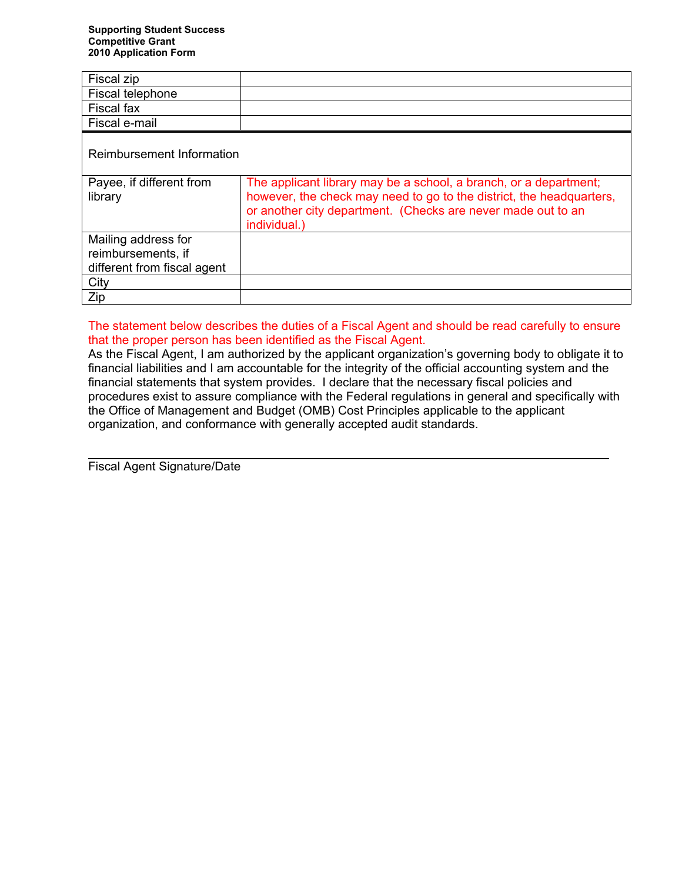| Fiscal zip                                                               |                                                                                                                                                                                                                           |
|--------------------------------------------------------------------------|---------------------------------------------------------------------------------------------------------------------------------------------------------------------------------------------------------------------------|
| Fiscal telephone                                                         |                                                                                                                                                                                                                           |
| Fiscal fax                                                               |                                                                                                                                                                                                                           |
| Fiscal e-mail                                                            |                                                                                                                                                                                                                           |
| Reimbursement Information                                                |                                                                                                                                                                                                                           |
| Payee, if different from<br>library                                      | The applicant library may be a school, a branch, or a department;<br>however, the check may need to go to the district, the headquarters,<br>or another city department. (Checks are never made out to an<br>individual.) |
| Mailing address for<br>reimbursements, if<br>different from fiscal agent |                                                                                                                                                                                                                           |
| City                                                                     |                                                                                                                                                                                                                           |
| Zip                                                                      |                                                                                                                                                                                                                           |

#### The statement below describes the duties of a Fiscal Agent and should be read carefully to ensure that the proper person has been identified as the Fiscal Agent.

As the Fiscal Agent, I am authorized by the applicant organization's governing body to obligate it to financial liabilities and I am accountable for the integrity of the official accounting system and the financial statements that system provides. I declare that the necessary fiscal policies and procedures exist to assure compliance with the Federal regulations in general and specifically with the Office of Management and Budget (OMB) Cost Principles applicable to the applicant organization, and conformance with generally accepted audit standards.

Fiscal Agent Signature/Date

 $\overline{a}$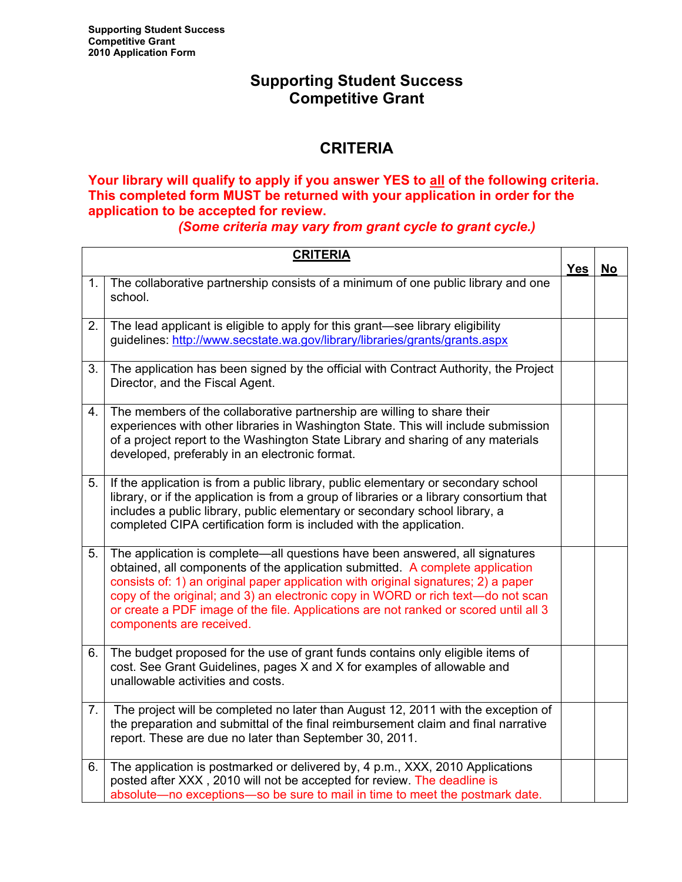### **Supporting Student Success Competitive Grant**

# **CRITERIA**

### **Your library will qualify to apply if you answer YES to all of the following criteria. This completed form MUST be returned with your application in order for the application to be accepted for review.**

*(Some criteria may vary from grant cycle to grant cycle.)* 

|    | <b>CRITERIA</b>                                                                                                                                                                                                                                                                                                                                                                                                                                             | <b>Yes</b> | <b>No</b> |
|----|-------------------------------------------------------------------------------------------------------------------------------------------------------------------------------------------------------------------------------------------------------------------------------------------------------------------------------------------------------------------------------------------------------------------------------------------------------------|------------|-----------|
| 1. | The collaborative partnership consists of a minimum of one public library and one<br>school.                                                                                                                                                                                                                                                                                                                                                                |            |           |
| 2. | The lead applicant is eligible to apply for this grant-see library eligibility<br>guidelines: http://www.secstate.wa.gov/library/libraries/grants/grants.aspx                                                                                                                                                                                                                                                                                               |            |           |
| 3. | The application has been signed by the official with Contract Authority, the Project<br>Director, and the Fiscal Agent.                                                                                                                                                                                                                                                                                                                                     |            |           |
| 4. | The members of the collaborative partnership are willing to share their<br>experiences with other libraries in Washington State. This will include submission<br>of a project report to the Washington State Library and sharing of any materials<br>developed, preferably in an electronic format.                                                                                                                                                         |            |           |
| 5. | If the application is from a public library, public elementary or secondary school<br>library, or if the application is from a group of libraries or a library consortium that<br>includes a public library, public elementary or secondary school library, a<br>completed CIPA certification form is included with the application.                                                                                                                        |            |           |
| 5. | The application is complete-all questions have been answered, all signatures<br>obtained, all components of the application submitted. A complete application<br>consists of: 1) an original paper application with original signatures; 2) a paper<br>copy of the original; and 3) an electronic copy in WORD or rich text-do not scan<br>or create a PDF image of the file. Applications are not ranked or scored until all 3<br>components are received. |            |           |
| 6. | The budget proposed for the use of grant funds contains only eligible items of<br>cost. See Grant Guidelines, pages X and X for examples of allowable and<br>unallowable activities and costs.                                                                                                                                                                                                                                                              |            |           |
| 7. | The project will be completed no later than August 12, 2011 with the exception of<br>the preparation and submittal of the final reimbursement claim and final narrative<br>report. These are due no later than September 30, 2011.                                                                                                                                                                                                                          |            |           |
| 6. | The application is postmarked or delivered by, 4 p.m., XXX, 2010 Applications<br>posted after XXX, 2010 will not be accepted for review. The deadline is<br>absolute-no exceptions-so be sure to mail in time to meet the postmark date.                                                                                                                                                                                                                    |            |           |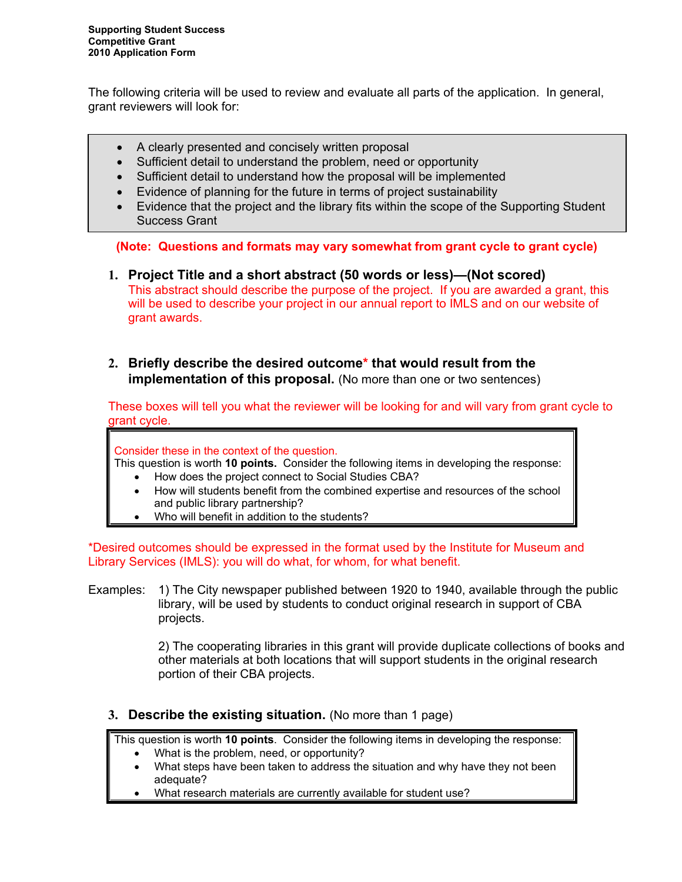The following criteria will be used to review and evaluate all parts of the application. In general, grant reviewers will look for:

- A clearly presented and concisely written proposal
- Sufficient detail to understand the problem, need or opportunity
- Sufficient detail to understand how the proposal will be implemented
- Evidence of planning for the future in terms of project sustainability
- Evidence that the project and the library fits within the scope of the Supporting Student Success Grant

**(Note: Questions and formats may vary somewhat from grant cycle to grant cycle)** 

- **1. Project Title and a short abstract (50 words or less)—(Not scored)**  This abstract should describe the purpose of the project. If you are awarded a grant, this will be used to describe your project in our annual report to IMLS and on our website of grant awards.
- **2. Briefly describe the desired outcome\* that would result from the implementation of this proposal.** (No more than one or two sentences)

These boxes will tell you what the reviewer will be looking for and will vary from grant cycle to grant cycle.

Consider these in the context of the question.

This question is worth **10 points.** Consider the following items in developing the response:

- How does the project connect to Social Studies CBA?
- How will students benefit from the combined expertise and resources of the school and public library partnership?
- Who will benefit in addition to the students?

\*Desired outcomes should be expressed in the format used by the Institute for Museum and Library Services (IMLS): you will do what, for whom, for what benefit.

Examples: 1) The City newspaper published between 1920 to 1940, available through the public library, will be used by students to conduct original research in support of CBA projects.

> 2) The cooperating libraries in this grant will provide duplicate collections of books and other materials at both locations that will support students in the original research portion of their CBA projects.

#### **3. Describe the existing situation.** (No more than 1 page)

This question is worth **10 points**. Consider the following items in developing the response:

- What is the problem, need, or opportunity?
- What steps have been taken to address the situation and why have they not been adequate?
- What research materials are currently available for student use?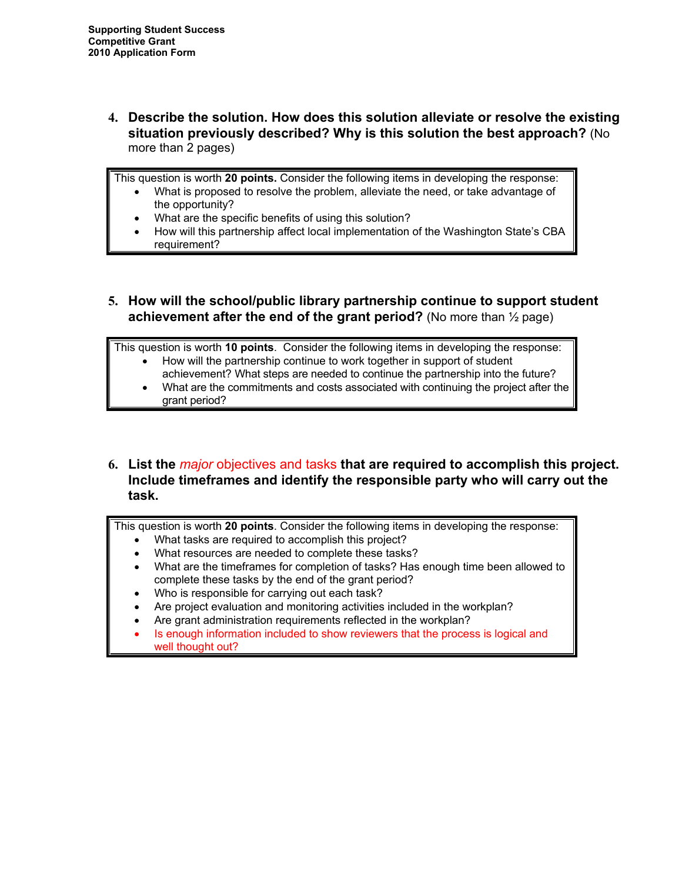**4. Describe the solution. How does this solution alleviate or resolve the existing situation previously described? Why is this solution the best approach?** (No more than 2 pages)

This question is worth **20 points.** Consider the following items in developing the response:

- What is proposed to resolve the problem, alleviate the need, or take advantage of the opportunity?
- What are the specific benefits of using this solution?
- How will this partnership affect local implementation of the Washington State's CBA requirement?
- **5. How will the school/public library partnership continue to support student achievement after the end of the grant period?** (No more than ½ page)

This question is worth **10 points**. Consider the following items in developing the response: • How will the partnership continue to work together in support of student

- achievement? What steps are needed to continue the partnership into the future?
- What are the commitments and costs associated with continuing the project after the grant period?
- **6. List the** *major* objectives and tasks **that are required to accomplish this project. Include timeframes and identify the responsible party who will carry out the task.**

This question is worth **20 points**. Consider the following items in developing the response:

- What tasks are required to accomplish this project?
- What resources are needed to complete these tasks?
- What are the timeframes for completion of tasks? Has enough time been allowed to complete these tasks by the end of the grant period?
- Who is responsible for carrying out each task?
- Are project evaluation and monitoring activities included in the workplan?
- Are grant administration requirements reflected in the workplan?
- Is enough information included to show reviewers that the process is logical and well thought out?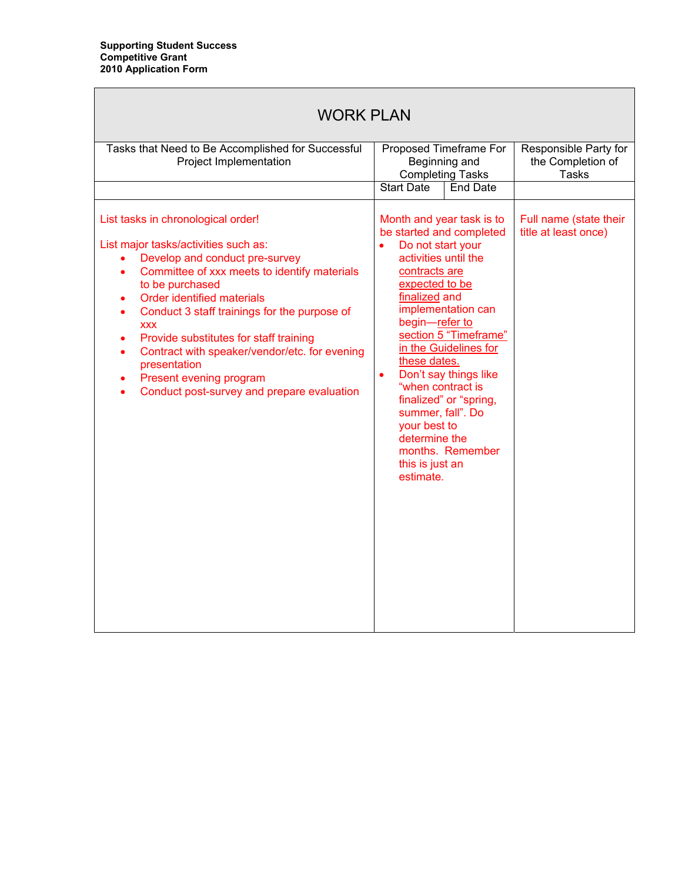| <b>WORK PLAN</b>                                                                                                                                                                                                                                                                                                                                                                                                                                                                                                              |                                                                                                                                                                                                                                                                                                                                                                                                                                                                                                               |                                                            |  |
|-------------------------------------------------------------------------------------------------------------------------------------------------------------------------------------------------------------------------------------------------------------------------------------------------------------------------------------------------------------------------------------------------------------------------------------------------------------------------------------------------------------------------------|---------------------------------------------------------------------------------------------------------------------------------------------------------------------------------------------------------------------------------------------------------------------------------------------------------------------------------------------------------------------------------------------------------------------------------------------------------------------------------------------------------------|------------------------------------------------------------|--|
| Tasks that Need to Be Accomplished for Successful<br>Project Implementation                                                                                                                                                                                                                                                                                                                                                                                                                                                   | Proposed Timeframe For<br>Beginning and<br><b>Completing Tasks</b>                                                                                                                                                                                                                                                                                                                                                                                                                                            | Responsible Party for<br>the Completion of<br><b>Tasks</b> |  |
| List tasks in chronological order!<br>List major tasks/activities such as:<br>Develop and conduct pre-survey<br>$\bullet$<br>Committee of xxx meets to identify materials<br>$\bullet$<br>to be purchased<br>Order identified materials<br>٠<br>Conduct 3 staff trainings for the purpose of<br><b>XXX</b><br>Provide substitutes for staff training<br>$\bullet$<br>Contract with speaker/vendor/etc. for evening<br>$\bullet$<br>presentation<br>Present evening program<br>٠<br>Conduct post-survey and prepare evaluation | <b>Start Date</b><br>End Date<br>Month and year task is to<br>be started and completed<br>Do not start your<br>$\bullet$<br>activities until the<br>contracts are<br>expected to be<br>finalized and<br>implementation can<br>begin-refer to<br>section 5 "Timeframe"<br>in the Guidelines for<br>these dates.<br>Don't say things like<br>$\bullet$<br>"when contract is<br>finalized" or "spring,<br>summer, fall". Do<br>your best to<br>determine the<br>months. Remember<br>this is just an<br>estimate. | Full name (state their<br>title at least once)             |  |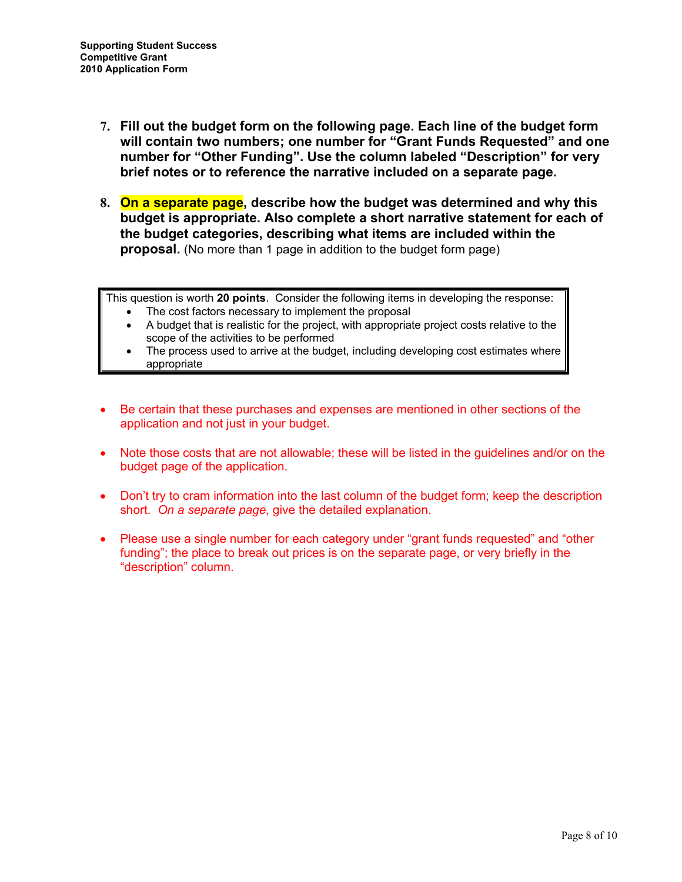- **7. Fill out the budget form on the following page. Each line of the budget form will contain two numbers; one number for "Grant Funds Requested" and one number for "Other Funding". Use the column labeled "Description" for very brief notes or to reference the narrative included on a separate page.**
- **8. On a separate page, describe how the budget was determined and why this budget is appropriate. Also complete a short narrative statement for each of the budget categories, describing what items are included within the proposal.** (No more than 1 page in addition to the budget form page)

This question is worth **20 points**. Consider the following items in developing the response:

- The cost factors necessary to implement the proposal
- A budget that is realistic for the project, with appropriate project costs relative to the scope of the activities to be performed
- The process used to arrive at the budget, including developing cost estimates where appropriate
- Be certain that these purchases and expenses are mentioned in other sections of the application and not just in your budget.
- Note those costs that are not allowable; these will be listed in the guidelines and/or on the budget page of the application.
- Don't try to cram information into the last column of the budget form; keep the description short. *On a separate page*, give the detailed explanation.
- Please use a single number for each category under "grant funds requested" and "other funding"; the place to break out prices is on the separate page, or very briefly in the "description" column.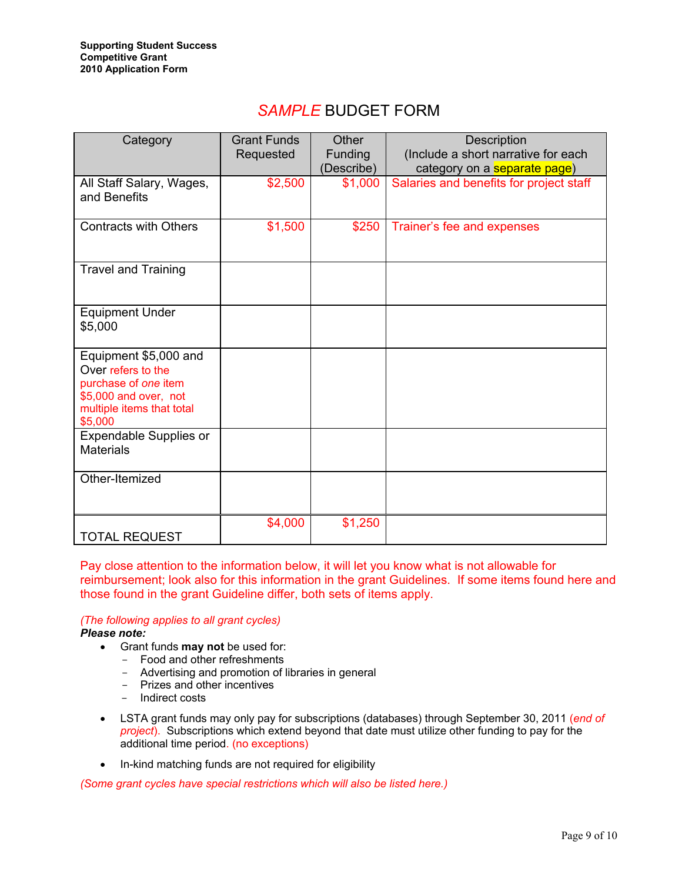### *SAMPLE* BUDGET FORM

| Category                                                                                                                             | <b>Grant Funds</b><br>Requested | Other<br><b>Funding</b><br>(Describe) | Description<br>(Include a short narrative for each<br>category on a <b>separate page</b> ) |
|--------------------------------------------------------------------------------------------------------------------------------------|---------------------------------|---------------------------------------|--------------------------------------------------------------------------------------------|
| All Staff Salary, Wages,<br>and Benefits                                                                                             | \$2,500                         | \$1,000                               | Salaries and benefits for project staff                                                    |
| <b>Contracts with Others</b>                                                                                                         | \$1,500                         | \$250                                 | Trainer's fee and expenses                                                                 |
| <b>Travel and Training</b>                                                                                                           |                                 |                                       |                                                                                            |
| <b>Equipment Under</b><br>\$5,000                                                                                                    |                                 |                                       |                                                                                            |
| Equipment \$5,000 and<br>Over refers to the<br>purchase of one item<br>\$5,000 and over, not<br>multiple items that total<br>\$5,000 |                                 |                                       |                                                                                            |
| <b>Expendable Supplies or</b><br><b>Materials</b>                                                                                    |                                 |                                       |                                                                                            |
| Other-Itemized                                                                                                                       |                                 |                                       |                                                                                            |
| <b>TOTAL REQUEST</b>                                                                                                                 | \$4,000                         | \$1,250                               |                                                                                            |

Pay close attention to the information below, it will let you know what is not allowable for reimbursement; look also for this information in the grant Guidelines. If some items found here and those found in the grant Guideline differ, both sets of items apply.

#### *(The following applies to all grant cycles)*

*Please note:* 

- Grant funds **may not** be used for:
	- Food and other refreshments
	- Advertising and promotion of libraries in general
	- Prizes and other incentives
	- Indirect costs
- LSTA grant funds may only pay for subscriptions (databases) through September 30, 2011 (*end of project*). Subscriptions which extend beyond that date must utilize other funding to pay for the additional time period. (no exceptions)
- In-kind matching funds are not required for eligibility

*(Some grant cycles have special restrictions which will also be listed here.)*